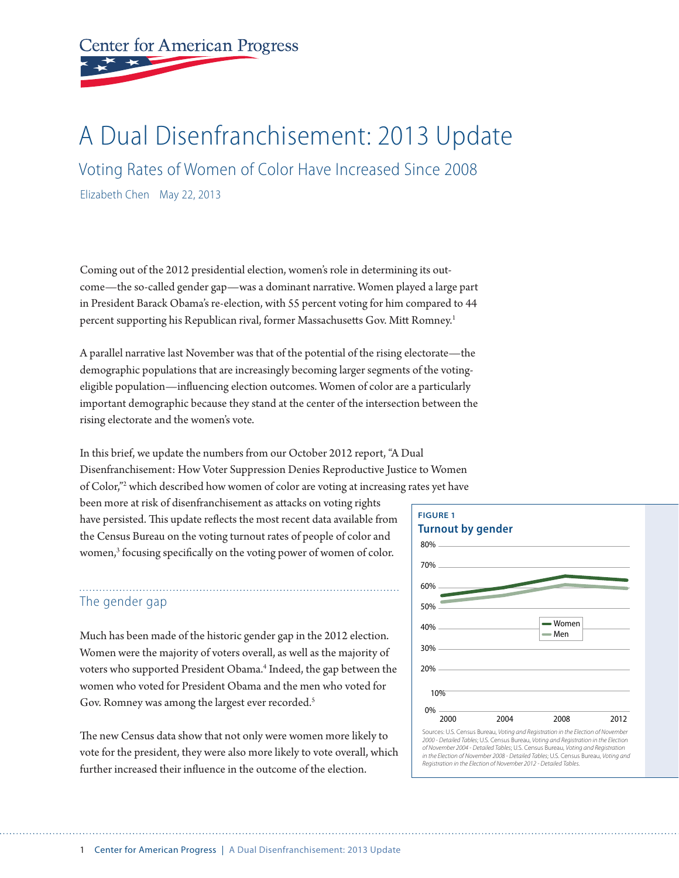**Center for American Progress** 

# A Dual Disenfranchisement: 2013 Update

Voting Rates of Women of Color Have Increased Since 2008

Elizabeth Chen May 22, 2013

Coming out of the 2012 presidential election, women's role in determining its outcome—the so-called gender gap—was a dominant narrative. Women played a large part in President Barack Obama's re-election, with 55 percent voting for him compared to 44 percent supporting his Republican rival, former Massachusetts Gov. Mitt Romney.1

A parallel narrative last November was that of the potential of the rising electorate—the demographic populations that are increasingly becoming larger segments of the votingeligible population—influencing election outcomes. Women of color are a particularly important demographic because they stand at the center of the intersection between the rising electorate and the women's vote.

In this brief, we update the numbers from our October 2012 report, "A Dual Disenfranchisement: How Voter Suppression Denies Reproductive Justice to Women of Color,"2 which described how women of color are voting at increasing rates yet have

been more at risk of disenfranchisement as attacks on voting rights have persisted. This update reflects the most recent data available from the Census Bureau on the voting turnout rates of people of color and women,<sup>3</sup> focusing specifically on the voting power of women of color.

### The gender gap

Much has been made of the historic gender gap in the 2012 election. Women were the majority of voters overall, as well as the majority of voters who supported President Obama.<sup>4</sup> Indeed, the gap between the women who voted for President Obama and the men who voted for Gov. Romney was among the largest ever recorded.<sup>5</sup>

The new Census data show that not only were women more likely to vote for the president, they were also more likely to vote overall, which further increased their influence in the outcome of the election.

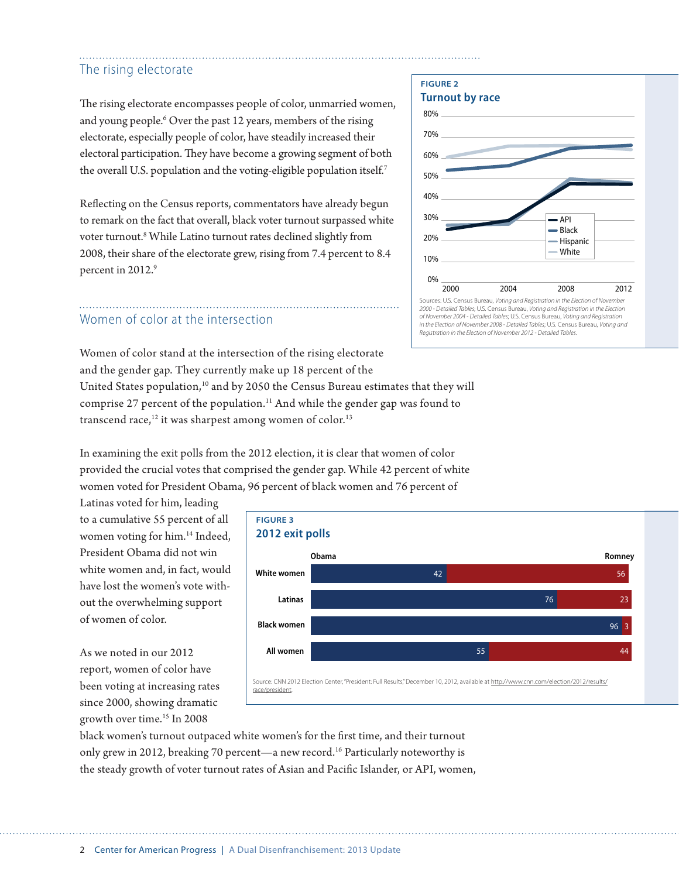## The rising electorate

The rising electorate encompasses people of color, unmarried women, and young people.<sup>6</sup> Over the past 12 years, members of the rising electorate, especially people of color, have steadily increased their electoral participation. They have become a growing segment of both the overall U.S. population and the voting-eligible population itself.<sup>7</sup>

Reflecting on the Census reports, commentators have already begun to remark on the fact that overall, black voter turnout surpassed white voter turnout.<sup>8</sup> While Latino turnout rates declined slightly from 2008, their share of the electorate grew, rising from 7.4 percent to 8.4 percent in 2012.9

## Women of color at the intersection

Women of color stand at the intersection of the rising electorate and the gender gap. They currently make up 18 percent of the United States population,<sup>10</sup> and by 2050 the Census Bureau estimates that they will comprise 27 percent of the population.<sup>11</sup> And while the gender gap was found to transcend race, $12$  it was sharpest among women of color. $13$ 

In examining the exit polls from the 2012 election, it is clear that women of color provided the crucial votes that comprised the gender gap. While 42 percent of white women voted for President Obama, 96 percent of black women and 76 percent of

Latinas voted for him, leading to a cumulative 55 percent of all women voting for him.14 Indeed, President Obama did not win white women and, in fact, would have lost the women's vote without the overwhelming support of women of color.

As we noted in our 2012 report, women of color have been voting at increasing rates since 2000, showing dramatic growth over time.15 In 2008



black women's turnout outpaced white women's for the first time, and their turnout only grew in 2012, breaking 70 percent—a new record.<sup>16</sup> Particularly noteworthy is the steady growth of voter turnout rates of Asian and Pacific Islander, or API, women,



2 Center for American Progress | A Dual Disenfranchisement: 2013 Update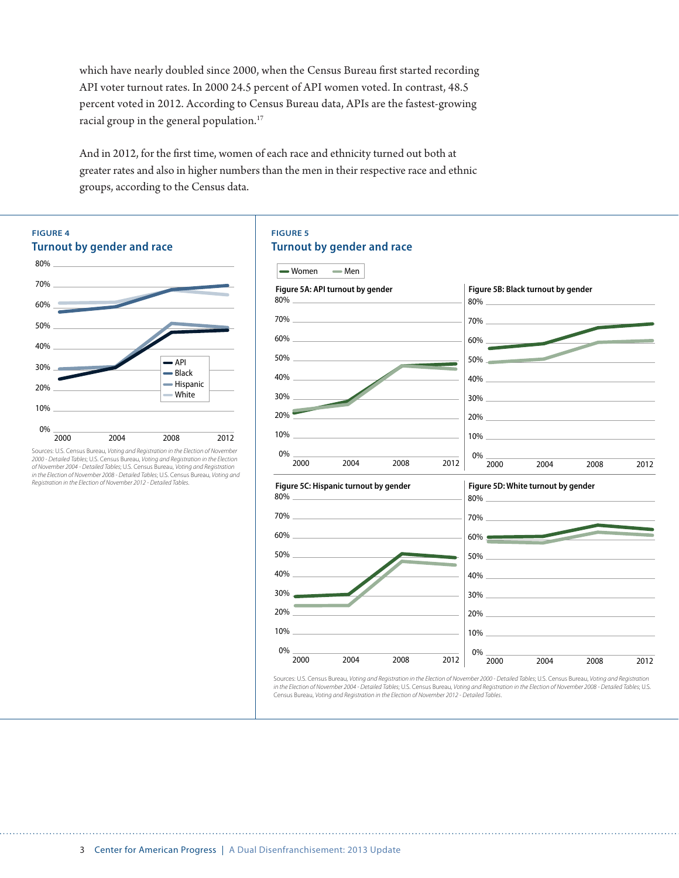which have nearly doubled since 2000, when the Census Bureau first started recording API voter turnout rates. In 2000 24.5 percent of API women voted. In contrast, 48.5 percent voted in 2012. According to Census Bureau data, APIs are the fastest-growing racial group in the general population.<sup>17</sup>

And in 2012, for the first time, women of each race and ethnicity turned out both at greater rates and also in higher numbers than the men in their respective race and ethnic groups, according to the Census data.



*2000 - Detailed Tables*; U.S. Census Bureau, *Voting and Registration in the Election of November 2004 - Detailed Tables*; U.S. Census Bureau, *Voting and Registration in the Election of November 2008 - Detailed Tables*; U.S. Census Bureau, *Voting and Registration in the Election of November 2012 - Detailed Tables*.

#### **FIGURE 5**

#### **Turnout by gender and race**

| <b>→ Women</b><br>— Men                   |                                                                                                                                                                                                                                                                                                                                                                                                                                                                          |
|-------------------------------------------|--------------------------------------------------------------------------------------------------------------------------------------------------------------------------------------------------------------------------------------------------------------------------------------------------------------------------------------------------------------------------------------------------------------------------------------------------------------------------|
| Figure 5A: API turnout by gender          | Figure 5B: Black turnout by gender<br>$80\%$                                                                                                                                                                                                                                                                                                                                                                                                                             |
| $70\%$                                    | 70%                                                                                                                                                                                                                                                                                                                                                                                                                                                                      |
| $60\%$                                    |                                                                                                                                                                                                                                                                                                                                                                                                                                                                          |
|                                           | $50\%$                                                                                                                                                                                                                                                                                                                                                                                                                                                                   |
| $40\%$                                    | $40\%$                                                                                                                                                                                                                                                                                                                                                                                                                                                                   |
| 30%                                       | $30\%$ $\overline{\phantom{a}}$ $\overline{\phantom{a}}$ $\overline{\phantom{a}}$ $\overline{\phantom{a}}$ $\overline{\phantom{a}}$ $\overline{\phantom{a}}$ $\overline{\phantom{a}}$ $\overline{\phantom{a}}$ $\overline{\phantom{a}}$ $\overline{\phantom{a}}$ $\overline{\phantom{a}}$ $\overline{\phantom{a}}$ $\overline{\phantom{a}}$ $\overline{\phantom{a}}$ $\overline{\phantom{a}}$ $\overline{\phantom{a}}$ $\overline{\phantom{a}}$ $\overline{\phantom{a}}$ |
| 20%                                       | $20\%$ 20%                                                                                                                                                                                                                                                                                                                                                                                                                                                               |
| $10\%$                                    | $10\%$                                                                                                                                                                                                                                                                                                                                                                                                                                                                   |
| 0%<br>2004<br>2008<br>2012<br>2000        | 2000<br>2004<br>2008<br>2012                                                                                                                                                                                                                                                                                                                                                                                                                                             |
| Figure 5C: Hispanic turnout by gender     | Figure 5D: White turnout by gender                                                                                                                                                                                                                                                                                                                                                                                                                                       |
|                                           | $80\%$                                                                                                                                                                                                                                                                                                                                                                                                                                                                   |
| $70\%$                                    | $70\%$                                                                                                                                                                                                                                                                                                                                                                                                                                                                   |
|                                           | $60\%$                                                                                                                                                                                                                                                                                                                                                                                                                                                                   |
| $50\%$ $\qquad$                           | $50\%$                                                                                                                                                                                                                                                                                                                                                                                                                                                                   |
|                                           | $40\%$                                                                                                                                                                                                                                                                                                                                                                                                                                                                   |
| $30\%$ $\qquad$                           | $30\%$                                                                                                                                                                                                                                                                                                                                                                                                                                                                   |
|                                           | $20\%$ 20%                                                                                                                                                                                                                                                                                                                                                                                                                                                               |
|                                           | $10\%$                                                                                                                                                                                                                                                                                                                                                                                                                                                                   |
| $0\%$ $-$<br>2004<br>2008<br>2000<br>2012 | 0%                                                                                                                                                                                                                                                                                                                                                                                                                                                                       |
|                                           | 2004<br>2008<br>2000<br>2012                                                                                                                                                                                                                                                                                                                                                                                                                                             |

Sources: U.S. Census Bureau, *Voting and Registration in the Election of November 2000 - Detailed Tables*; U.S. Census Bureau, *Voting and Registration in the Election of November 2004 - Detailed Tables*; U.S. Census Bureau, *Voting and Registration in the Election of November 2008 - Detailed Tables*; U.S. Census Bureau, *Voting and Registration in the Election of November 2012 - Detailed Tables*.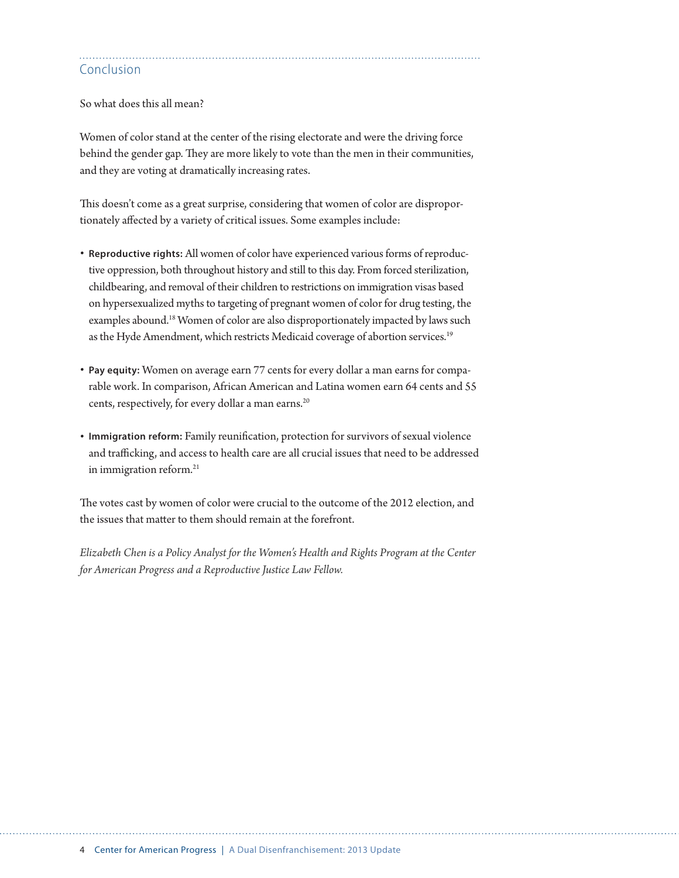# Conclusion

So what does this all mean?

Women of color stand at the center of the rising electorate and were the driving force behind the gender gap. They are more likely to vote than the men in their communities, and they are voting at dramatically increasing rates.

This doesn't come as a great surprise, considering that women of color are disproportionately affected by a variety of critical issues. Some examples include:

- **Reproductive rights:** All women of color have experienced various forms of reproductive oppression, both throughout history and still to this day. From forced sterilization, childbearing, and removal of their children to restrictions on immigration visas based on hypersexualized myths to targeting of pregnant women of color for drug testing, the examples abound.<sup>18</sup> Women of color are also disproportionately impacted by laws such as the Hyde Amendment, which restricts Medicaid coverage of abortion services.<sup>19</sup>
- **Pay equity:** Women on average earn 77 cents for every dollar a man earns for comparable work. In comparison, African American and Latina women earn 64 cents and 55 cents, respectively, for every dollar a man earns.<sup>20</sup>
- **Immigration reform:** Family reunification, protection for survivors of sexual violence and trafficking, and access to health care are all crucial issues that need to be addressed in immigration reform.<sup>21</sup>

The votes cast by women of color were crucial to the outcome of the 2012 election, and the issues that matter to them should remain at the forefront.

*Elizabeth Chen is a Policy Analyst for the Women's Health and Rights Program at the Center for American Progress and a Reproductive Justice Law Fellow.*